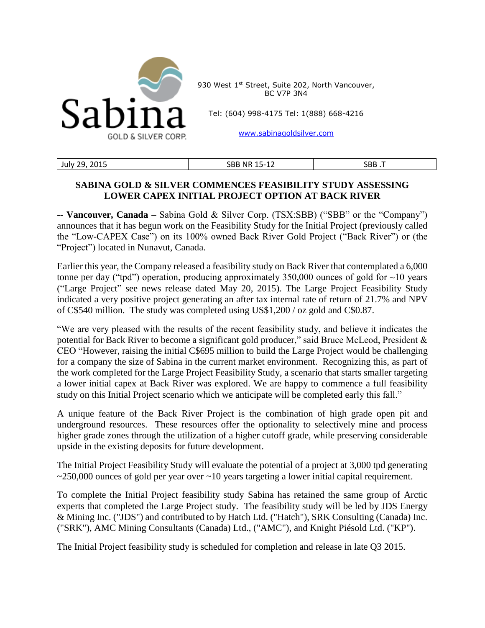

930 West 1st Street, Suite 202, North Vancouver, BC V7P 3N4

Tel: (604) 998-4175 Tel: 1(888) 668-4216

[www.sabinagoldsilver.com](http://www.sabinagoldsilver.com/)

| 2015<br>ר ה<br>July<br>--<br>____ | . .<br>SBB<br>Νŀ<br>ົ້າ –<br>-- | <b>RR</b><br>JUU |
|-----------------------------------|---------------------------------|------------------|

## **SABINA GOLD & SILVER COMMENCES FEASIBILITY STUDY ASSESSING LOWER CAPEX INITIAL PROJECT OPTION AT BACK RIVER**

**-- Vancouver, Canada –** Sabina Gold & Silver Corp. (TSX:SBB) ("SBB" or the "Company") announces that it has begun work on the Feasibility Study for the Initial Project (previously called the "Low-CAPEX Case") on its 100% owned Back River Gold Project ("Back River") or (the "Project") located in Nunavut, Canada.

Earlier this year, the Company released a feasibility study on Back River that contemplated a 6,000 tonne per day ("tpd") operation, producing approximately 350,000 ounces of gold for  $\sim$ 10 years ("Large Project" see news release dated May 20, 2015). The Large Project Feasibility Study indicated a very positive project generating an after tax internal rate of return of 21.7% and NPV of C\$540 million. The study was completed using US\$1,200 / oz gold and C\$0.87.

"We are very pleased with the results of the recent feasibility study, and believe it indicates the potential for Back River to become a significant gold producer," said Bruce McLeod, President & CEO "However, raising the initial C\$695 million to build the Large Project would be challenging for a company the size of Sabina in the current market environment. Recognizing this, as part of the work completed for the Large Project Feasibility Study, a scenario that starts smaller targeting a lower initial capex at Back River was explored. We are happy to commence a full feasibility study on this Initial Project scenario which we anticipate will be completed early this fall."

A unique feature of the Back River Project is the combination of high grade open pit and underground resources. These resources offer the optionality to selectively mine and process higher grade zones through the utilization of a higher cutoff grade, while preserving considerable upside in the existing deposits for future development.

The Initial Project Feasibility Study will evaluate the potential of a project at 3,000 tpd generating  $\approx$  250,000 ounces of gold per year over  $\sim$  10 years targeting a lower initial capital requirement.

To complete the Initial Project feasibility study Sabina has retained the same group of Arctic experts that completed the Large Project study. The feasibility study will be led by JDS Energy & Mining Inc. ("JDS") and contributed to by Hatch Ltd. ("Hatch"), SRK Consulting (Canada) Inc. ("SRK"), AMC Mining Consultants (Canada) Ltd., ("AMC"), and Knight Piésold Ltd. ("KP").

The Initial Project feasibility study is scheduled for completion and release in late Q3 2015.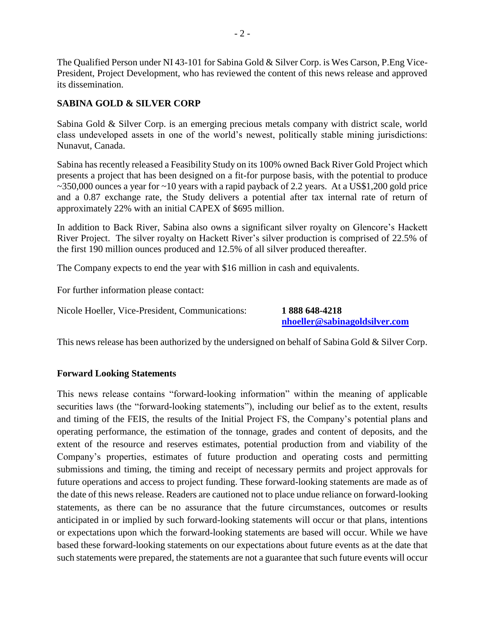The Qualified Person under NI 43-101 for Sabina Gold & Silver Corp. is Wes Carson, P.Eng Vice-President, Project Development, who has reviewed the content of this news release and approved its dissemination.

## **SABINA GOLD & SILVER CORP**

Sabina Gold & Silver Corp. is an emerging precious metals company with district scale, world class undeveloped assets in one of the world's newest, politically stable mining jurisdictions: Nunavut, Canada.

Sabina has recently released a Feasibility Study on its 100% owned Back River Gold Project which presents a project that has been designed on a fit-for purpose basis, with the potential to produce  $\sim$ 350,000 ounces a year for  $\sim$ 10 years with a rapid payback of 2.2 years. At a US\$1,200 gold price and a 0.87 exchange rate, the Study delivers a potential after tax internal rate of return of approximately 22% with an initial CAPEX of \$695 million.

In addition to Back River, Sabina also owns a significant silver royalty on Glencore's Hackett River Project. The silver royalty on Hackett River's silver production is comprised of 22.5% of the first 190 million ounces produced and 12.5% of all silver produced thereafter.

The Company expects to end the year with \$16 million in cash and equivalents.

For further information please contact:

Nicole Hoeller, Vice-President, Communications: **1 888 648-4218**

**[nhoeller@sabinagoldsilver.com](mailto:nhoeller@sabinagoldsilver.com)**

This news release has been authorized by the undersigned on behalf of Sabina Gold & Silver Corp.

## **Forward Looking Statements**

This news release contains "forward-looking information" within the meaning of applicable securities laws (the "forward-looking statements"), including our belief as to the extent, results and timing of the FEIS, the results of the Initial Project FS, the Company's potential plans and operating performance, the estimation of the tonnage, grades and content of deposits, and the extent of the resource and reserves estimates, potential production from and viability of the Company's properties, estimates of future production and operating costs and permitting submissions and timing, the timing and receipt of necessary permits and project approvals for future operations and access to project funding. These forward-looking statements are made as of the date of this news release. Readers are cautioned not to place undue reliance on forward-looking statements, as there can be no assurance that the future circumstances, outcomes or results anticipated in or implied by such forward-looking statements will occur or that plans, intentions or expectations upon which the forward-looking statements are based will occur. While we have based these forward-looking statements on our expectations about future events as at the date that such statements were prepared, the statements are not a guarantee that such future events will occur